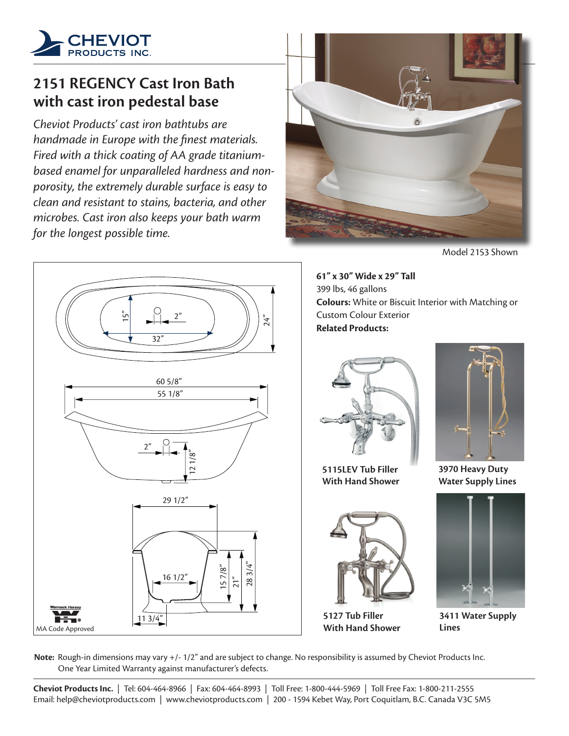

## **2151 REGENCY Cast Iron Bath with cast iron pedestal base**

*Cheviot Products' cast iron bathtubs are handmade in Europe with the finest materials. Fired with a thick coating of AA grade titaniumbased enamel for unparalleled hardness and nonporosity, the extremely durable surface is easy to clean and resistant to stains, bacteria, and other microbes. Cast iron also keeps your bath warm for the longest possible time.*



Model 2153 Shown



**61" x 30" Wide x 29" Tall** 399 lbs, 46 gallons **Colours:** White or Biscuit Interior with Matching or Custom Colour Exterior **Related Products:**



**5115LEV Tub Filler With Hand Shower**



**5127 Tub Filler With Hand Shower**



**3970 Heavy Duty Water Supply Lines**



**3411 Water Supply Lines**

**Note:** Rough-in dimensions may vary +/- 1/2" and are subject to change. No responsibility is assumed by Cheviot Products Inc. One Year Limited Warranty against manufacturer's defects.